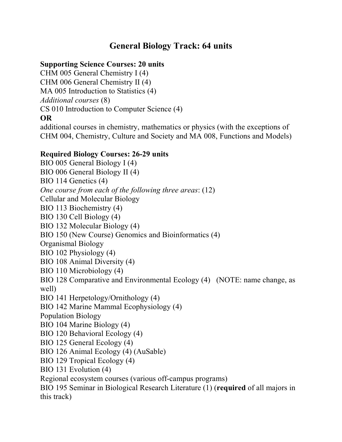## **General Biology Track: 64 units**

## **Supporting Science Courses: 20 units**

CHM 005 General Chemistry I (4) CHM 006 General Chemistry II (4) MA 005 Introduction to Statistics (4) *Additional courses* (8) CS 010 Introduction to Computer Science (4) **OR**

additional courses in chemistry, mathematics or physics (with the exceptions of CHM 004, Chemistry, Culture and Society and MA 008, Functions and Models)

## **Required Biology Courses: 26-29 units**

BIO 005 General Biology I (4) BIO 006 General Biology II (4) BIO 114 Genetics (4) *One course from each of the following three areas*: (12) Cellular and Molecular Biology BIO 113 Biochemistry (4) BIO 130 Cell Biology (4) BIO 132 Molecular Biology (4) BIO 150 (New Course) Genomics and Bioinformatics (4) Organismal Biology BIO 102 Physiology (4) BIO 108 Animal Diversity (4) BIO 110 Microbiology (4) BIO 128 Comparative and Environmental Ecology (4) (NOTE: name change, as well) BIO 141 Herpetology/Ornithology (4) BIO 142 Marine Mammal Ecophysiology (4) Population Biology BIO 104 Marine Biology (4) BIO 120 Behavioral Ecology (4) BIO 125 General Ecology (4) BIO 126 Animal Ecology (4) (AuSable) BIO 129 Tropical Ecology (4) BIO 131 Evolution (4) Regional ecosystem courses (various off-campus programs) BIO 195 Seminar in Biological Research Literature (1) (**required** of all majors in this track)